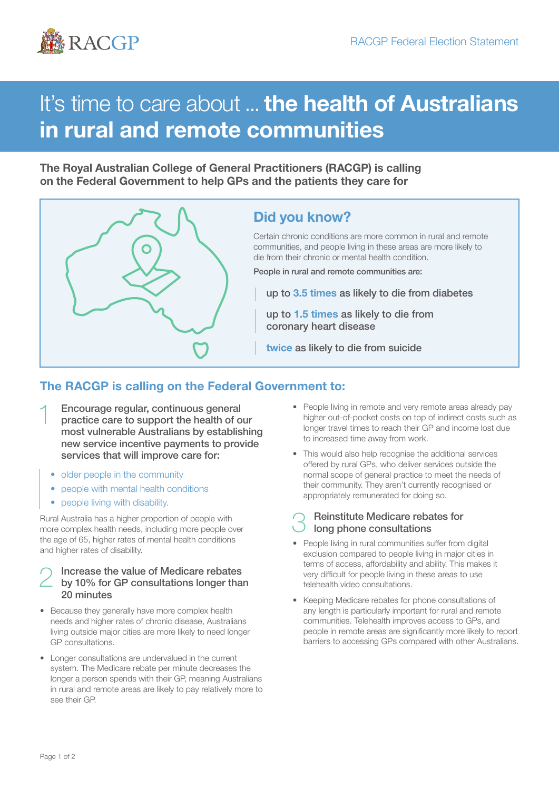

# It's time to care about ... the health of Australians in rural and remote communities

The Royal Australian College of General Practitioners (RACGP) is calling on the Federal Government to help GPs and the patients they care for



### Did you know?

Certain chronic conditions are more common in rural and remote communities, and people living in these areas are more likely to die from their chronic or mental health condition.

People in rural and remote communities are:

up to 3.5 times as likely to die from diabetes

up to 1.5 times as likely to die from coronary heart disease

twice as likely to die from suicide

#### The RACGP is calling on the Federal Government to:

- 1 Encourage regular, continuous general practice care to support the health of our most vulnerable Australians by establishing new service incentive payments to provide services that will improve care for:
	- older people in the community
	- people with mental health conditions
	- people living with disability.

Rural Australia has a higher proportion of people with more complex health needs, including more people over the age of 65, higher rates of mental health conditions and higher rates of disability.

## 2 Increase the value of Medicare rebates by 10% for GP consultations longer than 20 minutes

- Because they generally have more complex health needs and higher rates of chronic disease, Australians living outside major cities are more likely to need longer GP consultations.
- Longer consultations are undervalued in the current system. The Medicare rebate per minute decreases the longer a person spends with their GP, meaning Australians in rural and remote areas are likely to pay relatively more to see their GP.
- People living in remote and very remote areas already pay higher out-of-pocket costs on top of indirect costs such as longer travel times to reach their GP and income lost due to increased time away from work.
- This would also help recognise the additional services offered by rural GPs, who deliver services outside the normal scope of general practice to meet the needs of their community. They aren't currently recognised or appropriately remunerated for doing so.
- **Reinstitute Medicare rebates for** long phone consultations
- People living in rural communities suffer from digital exclusion compared to people living in major cities in terms of access, affordability and ability. This makes it very difficult for people living in these areas to use telehealth video consultations.
- Keeping Medicare rebates for phone consultations of any length is particularly important for rural and remote communities. Telehealth improves access to GPs, and people in remote areas are significantly more likely to report barriers to accessing GPs compared with other Australians.